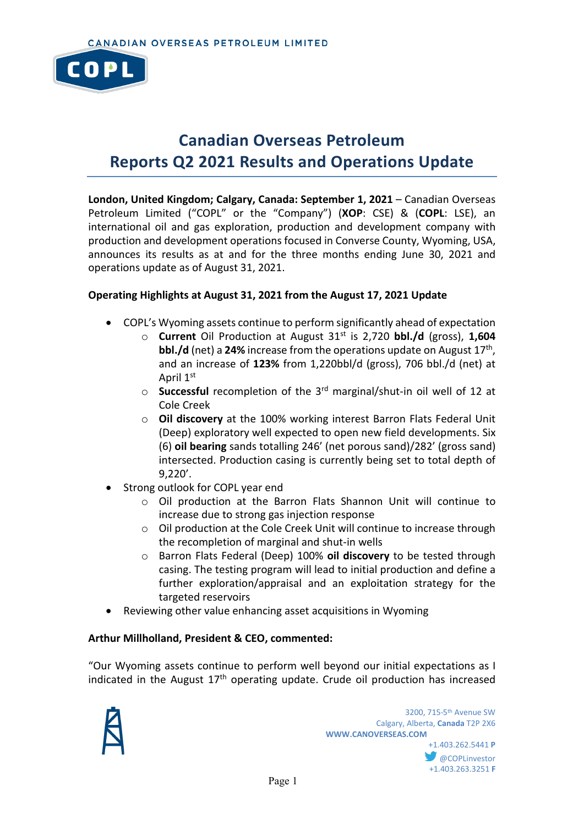

# **Canadian Overseas Petroleum Reports Q2 2021 Results and Operations Update**

**London, United Kingdom; Calgary, Canada: September 1, 2021** – Canadian Overseas Petroleum Limited ("COPL" or the "Company") (**XOP**: CSE) & (**COPL**: LSE), an international oil and gas exploration, production and development company with production and development operations focused in Converse County, Wyoming, USA, announces its results as at and for the three months ending June 30, 2021 and operations update as of August 31, 2021.

## **Operating Highlights at August 31, 2021 from the August 17, 2021 Update**

- COPL's Wyoming assets continue to perform significantly ahead of expectation
	- o **Current** Oil Production at August 31st is 2,720 **bbl./d** (gross), **1,604 bbl./d** (net) a 24% increase from the operations update on August 17<sup>th</sup>, and an increase of **123%** from 1,220bbl/d (gross), 706 bbl./d (net) at April 1st
	- o **Successful** recompletion of the 3rd marginal/shut-in oil well of 12 at Cole Creek
	- o **Oil discovery** at the 100% working interest Barron Flats Federal Unit (Deep) exploratory well expected to open new field developments. Six (6) **oil bearing** sands totalling 246' (net porous sand)/282' (gross sand) intersected. Production casing is currently being set to total depth of 9,220'.
- Strong outlook for COPL year end
	- o Oil production at the Barron Flats Shannon Unit will continue to increase due to strong gas injection response
	- $\circ$  Oil production at the Cole Creek Unit will continue to increase through the recompletion of marginal and shut-in wells
	- o Barron Flats Federal (Deep) 100% **oil discovery** to be tested through casing. The testing program will lead to initial production and define a further exploration/appraisal and an exploitation strategy for the targeted reservoirs
- Reviewing other value enhancing asset acquisitions in Wyoming

#### **Arthur Millholland, President & CEO, commented:**

"Our Wyoming assets continue to perform well beyond our initial expectations as I indicated in the August  $17<sup>th</sup>$  operating update. Crude oil production has increased

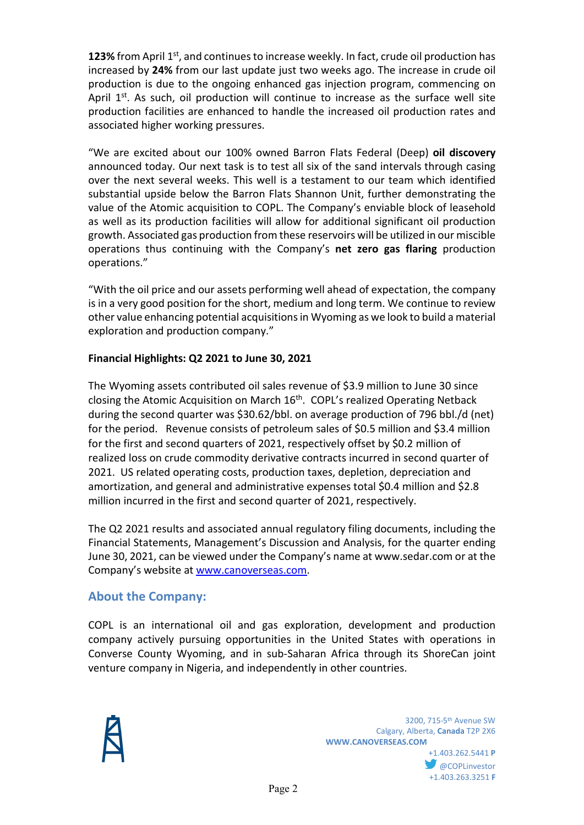**123%** from April 1<sup>st</sup>, and continues to increase weekly. In fact, crude oil production has increased by **24%** from our last update just two weeks ago. The increase in crude oil production is due to the ongoing enhanced gas injection program, commencing on April  $1<sup>st</sup>$ . As such, oil production will continue to increase as the surface well site production facilities are enhanced to handle the increased oil production rates and associated higher working pressures.

"We are excited about our 100% owned Barron Flats Federal (Deep) **oil discovery** announced today. Our next task is to test all six of the sand intervals through casing over the next several weeks. This well is a testament to our team which identified substantial upside below the Barron Flats Shannon Unit, further demonstrating the value of the Atomic acquisition to COPL. The Company's enviable block of leasehold as well as its production facilities will allow for additional significant oil production growth. Associated gas production from these reservoirs will be utilized in our miscible operations thus continuing with the Company's **net zero gas flaring** production operations."

"With the oil price and our assets performing well ahead of expectation, the company is in a very good position for the short, medium and long term. We continue to review other value enhancing potential acquisitions in Wyoming as we look to build a material exploration and production company."

## **Financial Highlights: Q2 2021 to June 30, 2021**

The Wyoming assets contributed oil sales revenue of \$3.9 million to June 30 since closing the Atomic Acquisition on March 16<sup>th</sup>. COPL's realized Operating Netback during the second quarter was \$30.62/bbl. on average production of 796 bbl./d (net) for the period. Revenue consists of petroleum sales of \$0.5 million and \$3.4 million for the first and second quarters of 2021, respectively offset by \$0.2 million of realized loss on crude commodity derivative contracts incurred in second quarter of 2021. US related operating costs, production taxes, depletion, depreciation and amortization, and general and administrative expenses total \$0.4 million and \$2.8 million incurred in the first and second quarter of 2021, respectively.

The Q2 2021 results and associated annual regulatory filing documents, including the Financial Statements, Management's Discussion and Analysis, for the quarter ending June 30, 2021, can be viewed under the Company's name at www.sedar.com or at the Company's website at [www.canoverseas.com.](http://www.canoverseas.com/)

## **About the Company:**

COPL is an international oil and gas exploration, development and production company actively pursuing opportunities in the United States with operations in Converse County Wyoming, and in sub-Saharan Africa through its ShoreCan joint venture company in Nigeria, and independently in other countries.